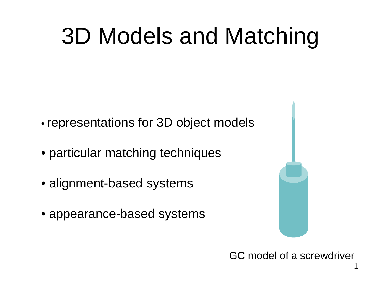#### 3D Models and Matching

- representations for 3D object models
- particular matching techniques
- alignment-based systems
- appearance-based systems

GC model of a screwdriver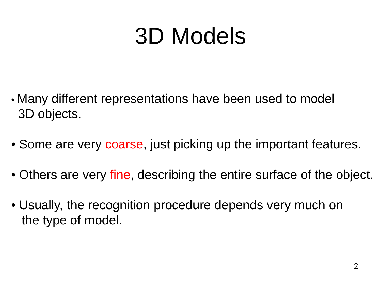#### 3D Models

- Many different representations have been used to model 3D objects.
- Some are very coarse, just picking up the important features.
- Others are very fine, describing the entire surface of the object.
- Usually, the recognition procedure depends very much on the type of model.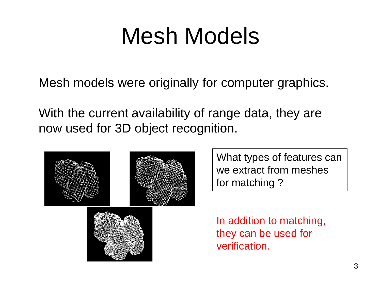#### Mesh Models

Mesh models were originally for computer graphics.

With the current availability of range data, they are now used for 3D object recognition.



What types of features can we extract from meshes for matching ?

In addition to matching, they can be used for verification.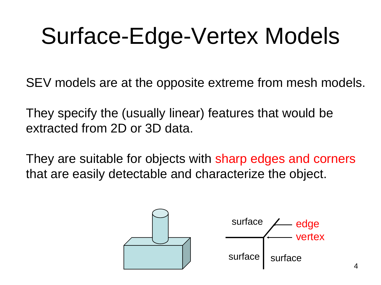#### Surface-Edge-Vertex Models

SEV models are at the opposite extreme from mesh models.

They specify the (usually linear) features that would be extracted from 2D or 3D data.

They are suitable for objects with sharp edges and corners that are easily detectable and characterize the object.

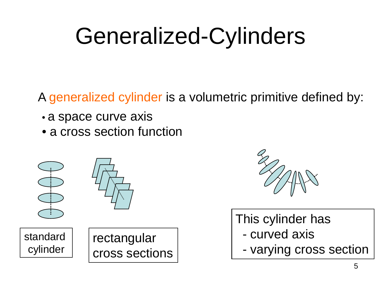#### Generalized-Cylinders

A generalized cylinder is a volumetric primitive defined by:

- a space curve axis
- a cross section function





This cylinder has

- curved axis
-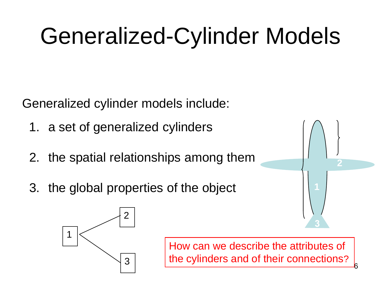## Generalized-Cylinder Models

Generalized cylinder models include:

- 1. a set of generalized cylinders
- 2. the spatial relationships among them
- 3. the global properties of the object **1**



How can we describe the attributes of the cylinders and of their connections?



6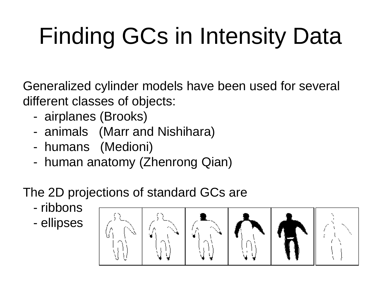# Finding GCs in Intensity Data

Generalized cylinder models have been used for several different classes of objects:

- airplanes (Brooks)
- animals (Marr and Nishihara)
- humans (Medioni)
- human anatomy (Zhenrong Qian)

#### The 2D projections of standard GCs are

- ribbons
- ellipses

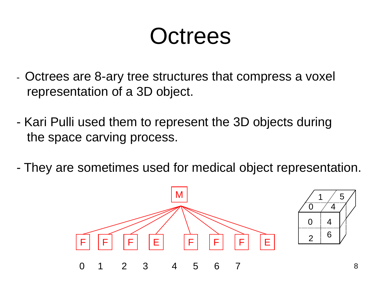#### **Octrees**

- Octrees are 8-ary tree structures that compress a voxel representation of a 3D object.
- Kari Pulli used them to represent the 3D objects during the space carving process.
- They are sometimes used for medical object representation.

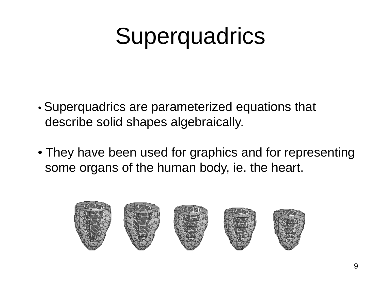#### **Superquadrics**

- Superquadrics are parameterized equations that describe solid shapes algebraically.
- They have been used for graphics and for representing some organs of the human body, ie. the heart.

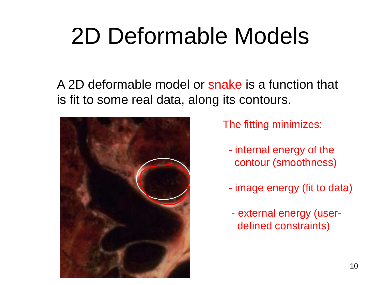#### 2D Deformable Models

A 2D deformable model or snake is a function that is fit to some real data, along its contours.



The fitting minimizes:

- internal energy of the contour (smoothness)
- image energy (fit to data)
- external energy (userdefined constraints)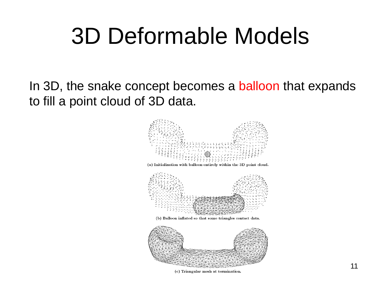#### 3D Deformable Models

In 3D, the snake concept becomes a balloon that expands to fill a point cloud of 3D data.



(c) Triangular mesh at termination.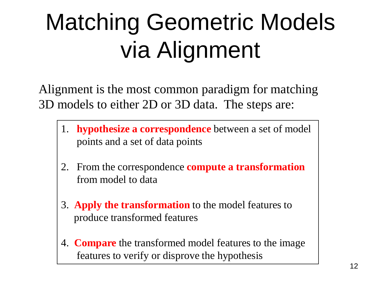## Matching Geometric Models via Alignment

Alignment is the most common paradigm for matching 3D models to either 2D or 3D data. The steps are:

- 1. **hypothesize a correspondence** between a set of model points and a set of data points
- 2. From the correspondence **compute a transformation** from model to data
- 3. **Apply the transformation** to the model features to produce transformed features
- 4. **Compare** the transformed model features to the image features to verify or disprove the hypothesis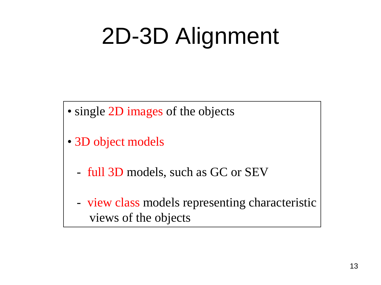### 2D-3D Alignment

- single 2D images of the objects
- 3D object models
	- full 3D models, such as GC or SEV
	- view class models representing characteristic views of the objects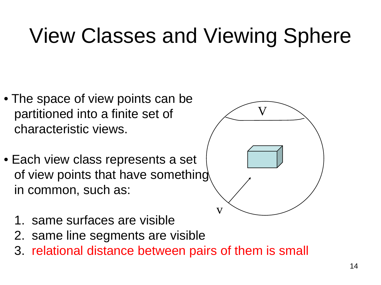#### View Classes and Viewing Sphere

- The space of view points can be partitioned into a finite set of characteristic views.
- Each view class represents a set of view points that have something in common, such as:



- 1. same surfaces are visible
- 2. same line segments are visible
- 3. relational distance between pairs of them is small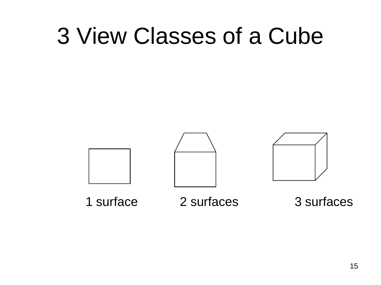#### 3 View Classes of a Cube

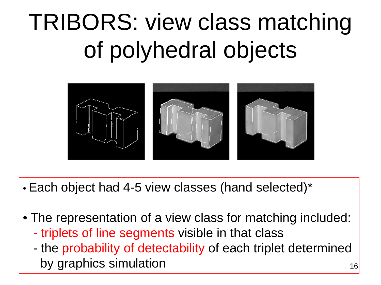## TRIBORS: view class matching of polyhedral objects



- Each object had 4-5 view classes (hand selected)\*
- The representation of a view class for matching included:
	- triplets of line segments visible in that class
	- the probability of detectability of each triplet determined by graphics simulation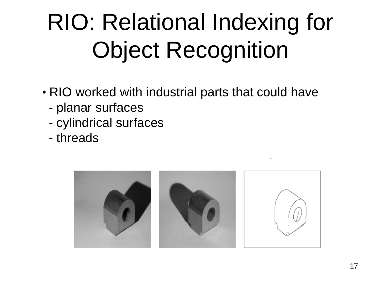## RIO: Relational Indexing for Object Recognition

- RIO worked with industrial parts that could have
	- planar surfaces
	- cylindrical surfaces
	- threads

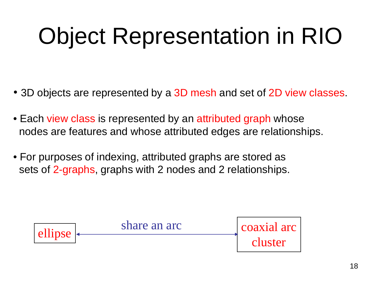## Object Representation in RIO

- 3D objects are represented by a 3D mesh and set of 2D view classes.
- Each view class is represented by an attributed graph whose nodes are features and whose attributed edges are relationships.
- For purposes of indexing, attributed graphs are stored as sets of 2-graphs, graphs with 2 nodes and 2 relationships.

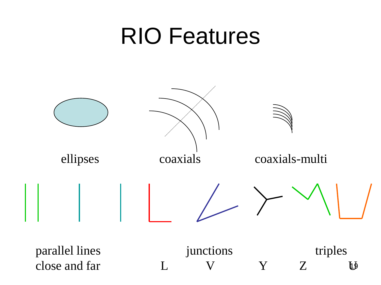#### RIO Features

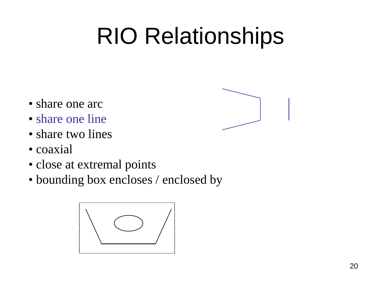## RIO Relationships

- share one arc
- share one line
- share two lines
- coaxial
- close at extremal points
- bounding box encloses / enclosed by



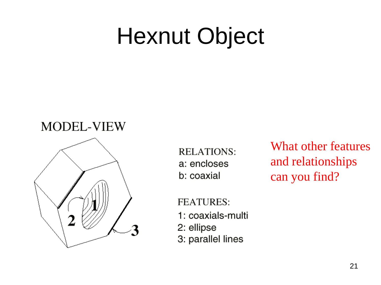#### Hexnut Object

#### **MODEL-VIEW**



**RELATIONS:** a: encloses b: coaxial

What other features and relationships can you find?

**FEATURES:** 1: coaxials-multi 2: ellipse

3: parallel lines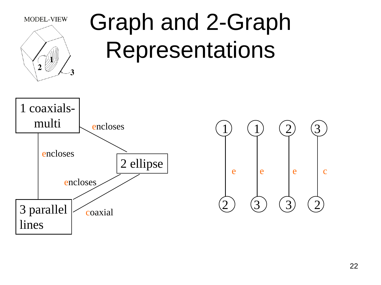

## Graph and 2-Graph Representations



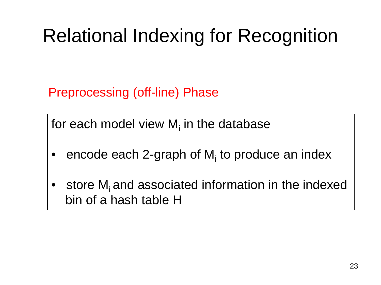#### Relational Indexing for Recognition

Preprocessing (off-line) Phase

for each model view  $M<sub>i</sub>$  in the database

- encode each 2-graph of  $M<sub>i</sub>$  to produce an index
- store  $M_i$  and associated information in the indexed bin of a hash table H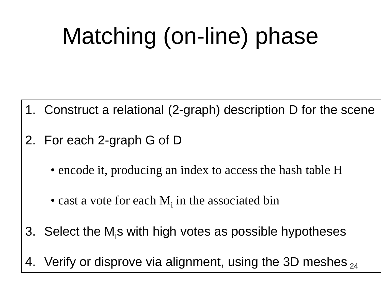## Matching (on-line) phase

- 1. Construct a relational (2-graph) description D for the scene
- 2. For each 2-graph G of D
	- encode it, producing an index to access the hash table H
	- cast a vote for each  $M_i$  in the associated bin
- 3. Select the M<sub>i</sub>s with high votes as possible hypotheses
- 4. Verify or disprove via alignment, using the 3D meshes  $_{\rm 24}$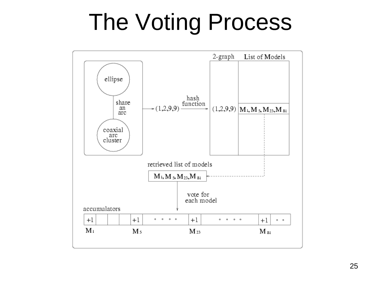## The Voting Process

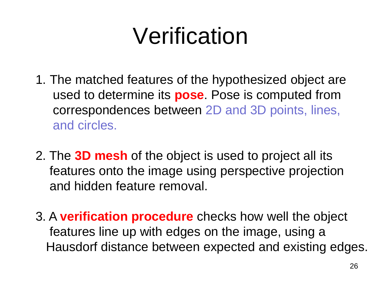#### Verification

- 1. The matched features of the hypothesized object are used to determine its **pose**. Pose is computed from correspondences between 2D and 3D points, lines, and circles.
- 2. The **3D mesh** of the object is used to project all its features onto the image using perspective projection and hidden feature removal.
- 3. A **verification procedure** checks how well the object features line up with edges on the image, using a Hausdorf distance between expected and existing edges.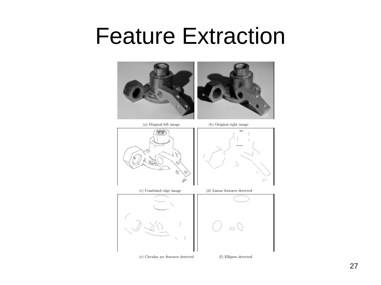#### Feature Extraction



(a) Original left image



(b) Original right image



(c) Combined edge image



(e) Circular arc features detected



(d) Linear features detected

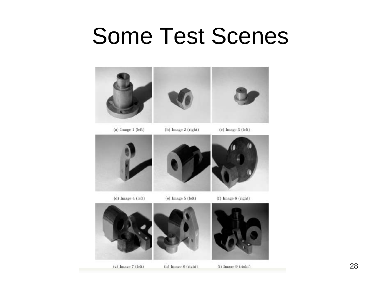#### Some Test Scenes



 $(a)$  Image 1 (left)

(b) Image 2 (right)

 $(c)$  Image 3 (left)



 $(d)$  Image  $4$  (left)

(e) Image  $5$  (left)



 $(f)$  Image  $6$  (right)





(h) Image 8 (right)

(i) Image 9 (right)

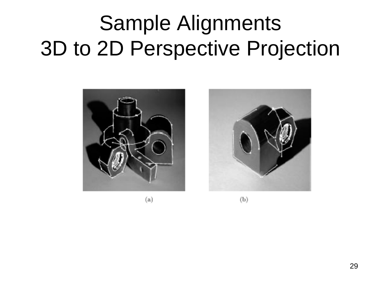#### Sample Alignments 3D to 2D Perspective Projection



 $(a)$ 



 $(b)$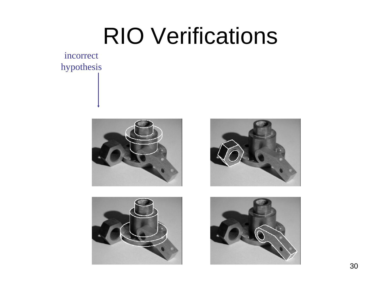#### RIO Verifications

incorrect hypothesis







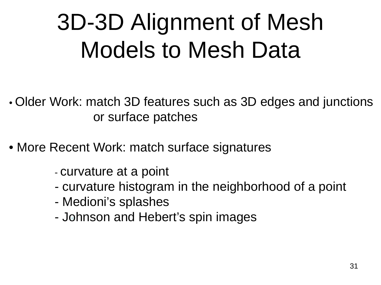## 3D-3D Alignment of Mesh Models to Mesh Data

- Older Work: match 3D features such as 3D edges and junctions or surface patches
- More Recent Work: match surface signatures
	- curvature at a point
	- curvature histogram in the neighborhood of a point
	- Medioni's splashes
	- Johnson and Hebert's spin images \*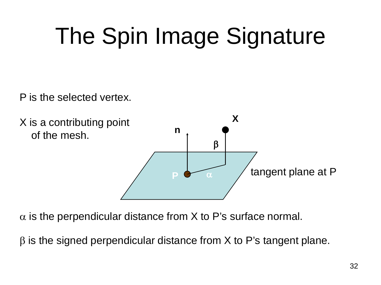## The Spin Image Signature

P is the selected vertex.



 $\alpha$  is the perpendicular distance from X to P's surface normal.

 $β$  is the signed perpendicular distance from  $X$  to P's tangent plane.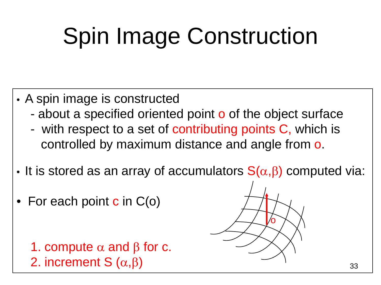## Spin Image Construction

- A spin image is constructed
	- about a specified oriented point o of the object surface
	- with respect to a set of contributing points C, which is controlled by maximum distance and angle from o.
- It is stored as an array of accumulators  $S(\alpha,\beta)$  computed via:
- For each point  $c$  in  $C(o)$

1. compute  $\alpha$  and  $\beta$  for c. 2. increment S  $(\alpha, \beta)$ 

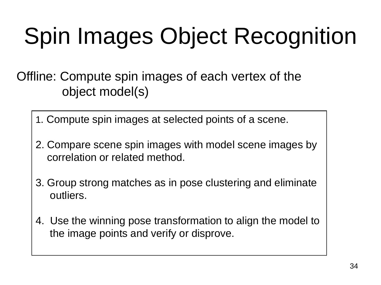## Spin Images Object Recognition

Offline: Compute spin images of each vertex of the object model(s)

- 1. Compute spin images at selected points of a scene.
- 2. Compare scene spin images with model scene images by correlation or related method.
- 3. Group strong matches as in pose clustering and eliminate outliers.
- 4. Use the winning pose transformation to align the model to the image points and verify or disprove.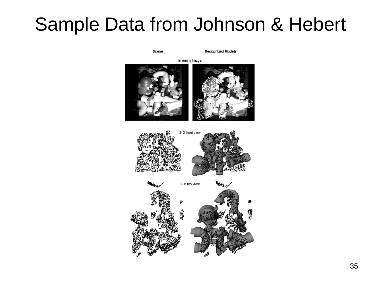#### Sample Data from Johnson & Hebert

Scene

Recognized Models

intensity image